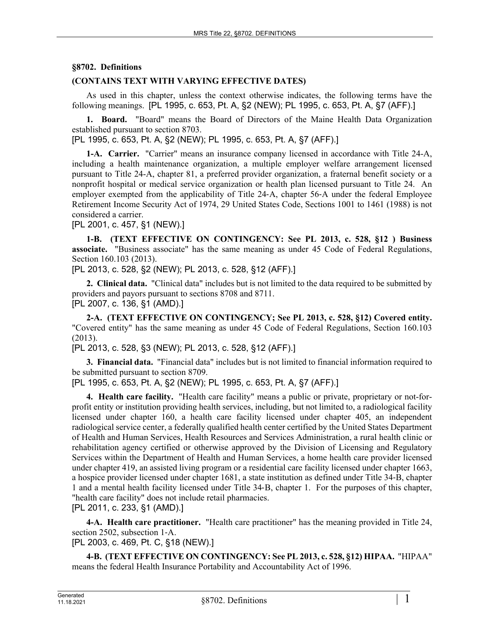## **§8702. Definitions**

## **(CONTAINS TEXT WITH VARYING EFFECTIVE DATES)**

As used in this chapter, unless the context otherwise indicates, the following terms have the following meanings. [PL 1995, c. 653, Pt. A, §2 (NEW); PL 1995, c. 653, Pt. A, §7 (AFF).]

**1. Board.** "Board" means the Board of Directors of the Maine Health Data Organization established pursuant to section 8703.

[PL 1995, c. 653, Pt. A, §2 (NEW); PL 1995, c. 653, Pt. A, §7 (AFF).]

**1-A. Carrier.** "Carrier" means an insurance company licensed in accordance with Title 24-A, including a health maintenance organization, a multiple employer welfare arrangement licensed pursuant to Title 24-A, chapter 81, a preferred provider organization, a fraternal benefit society or a nonprofit hospital or medical service organization or health plan licensed pursuant to Title 24. An employer exempted from the applicability of Title 24–A, chapter 56–A under the federal Employee Retirement Income Security Act of 1974, 29 United States Code, Sections 1001 to 1461 (1988) is not considered a carrier.

[PL 2001, c. 457, §1 (NEW).]

**1-B. (TEXT EFFECTIVE ON CONTINGENCY: See PL 2013, c. 528, §12 ) Business associate.** "Business associate" has the same meaning as under 45 Code of Federal Regulations, Section 160.103 (2013).

[PL 2013, c. 528, §2 (NEW); PL 2013, c. 528, §12 (AFF).]

**2. Clinical data.** "Clinical data" includes but is not limited to the data required to be submitted by providers and payors pursuant to sections 8708 and 8711. [PL 2007, c. 136, §1 (AMD).]

**2-A. (TEXT EFFECTIVE ON CONTINGENCY; See PL 2013, c. 528, §12) Covered entity.**  "Covered entity" has the same meaning as under 45 Code of Federal Regulations, Section 160.103 (2013).

[PL 2013, c. 528, §3 (NEW); PL 2013, c. 528, §12 (AFF).]

**3. Financial data.** "Financial data" includes but is not limited to financial information required to be submitted pursuant to section 8709.

[PL 1995, c. 653, Pt. A, §2 (NEW); PL 1995, c. 653, Pt. A, §7 (AFF).]

**4. Health care facility.** "Health care facility" means a public or private, proprietary or not-forprofit entity or institution providing health services, including, but not limited to, a radiological facility licensed under chapter 160, a health care facility licensed under chapter 405, an independent radiological service center, a federally qualified health center certified by the United States Department of Health and Human Services, Health Resources and Services Administration, a rural health clinic or rehabilitation agency certified or otherwise approved by the Division of Licensing and Regulatory Services within the Department of Health and Human Services, a home health care provider licensed under chapter 419, an assisted living program or a residential care facility licensed under chapter 1663, a hospice provider licensed under chapter 1681, a state institution as defined under Title 34‑B, chapter 1 and a mental health facility licensed under Title 34‑B, chapter 1. For the purposes of this chapter, "health care facility" does not include retail pharmacies. [PL 2011, c. 233, §1 (AMD).]

**4-A. Health care practitioner.** "Health care practitioner" has the meaning provided in Title 24, section 2502, subsection 1-A.

[PL 2003, c. 469, Pt. C, §18 (NEW).]

**4-B. (TEXT EFFECTIVE ON CONTINGENCY: See PL 2013, c. 528, §12) HIPAA.** "HIPAA" means the federal Health Insurance Portability and Accountability Act of 1996.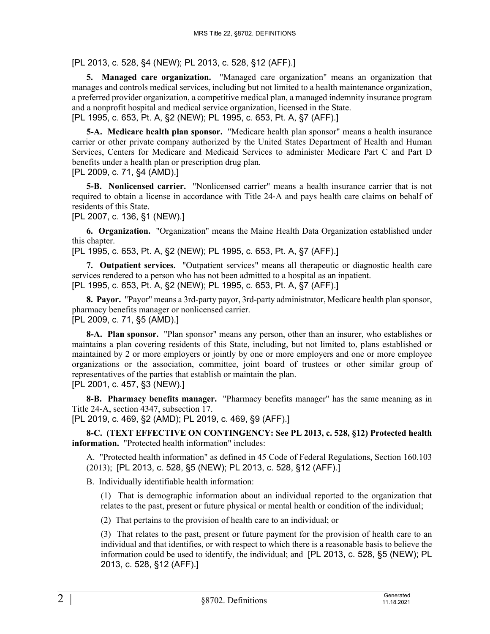[PL 2013, c. 528, §4 (NEW); PL 2013, c. 528, §12 (AFF).]

**5. Managed care organization.** "Managed care organization" means an organization that manages and controls medical services, including but not limited to a health maintenance organization, a preferred provider organization, a competitive medical plan, a managed indemnity insurance program and a nonprofit hospital and medical service organization, licensed in the State. [PL 1995, c. 653, Pt. A, §2 (NEW); PL 1995, c. 653, Pt. A, §7 (AFF).]

**5-A. Medicare health plan sponsor.** "Medicare health plan sponsor" means a health insurance carrier or other private company authorized by the United States Department of Health and Human Services, Centers for Medicare and Medicaid Services to administer Medicare Part C and Part D benefits under a health plan or prescription drug plan.

[PL 2009, c. 71, §4 (AMD).]

**5-B. Nonlicensed carrier.** "Nonlicensed carrier" means a health insurance carrier that is not required to obtain a license in accordance with Title 24‑A and pays health care claims on behalf of residents of this State.

[PL 2007, c. 136, §1 (NEW).]

**6. Organization.** "Organization" means the Maine Health Data Organization established under this chapter.

[PL 1995, c. 653, Pt. A, §2 (NEW); PL 1995, c. 653, Pt. A, §7 (AFF).]

**7. Outpatient services.** "Outpatient services" means all therapeutic or diagnostic health care services rendered to a person who has not been admitted to a hospital as an inpatient. [PL 1995, c. 653, Pt. A, §2 (NEW); PL 1995, c. 653, Pt. A, §7 (AFF).]

**8. Payor.** "Payor" means a 3rd-party payor, 3rd-party administrator, Medicare health plan sponsor, pharmacy benefits manager or nonlicensed carrier. [PL 2009, c. 71, §5 (AMD).]

**8-A. Plan sponsor.** "Plan sponsor" means any person, other than an insurer, who establishes or maintains a plan covering residents of this State, including, but not limited to, plans established or maintained by 2 or more employers or jointly by one or more employers and one or more employee organizations or the association, committee, joint board of trustees or other similar group of representatives of the parties that establish or maintain the plan. [PL 2001, c. 457, §3 (NEW).]

**8-B. Pharmacy benefits manager.** "Pharmacy benefits manager" has the same meaning as in Title 24‑A, section 4347, subsection 17.

[PL 2019, c. 469, §2 (AMD); PL 2019, c. 469, §9 (AFF).]

**8-C. (TEXT EFFECTIVE ON CONTINGENCY: See PL 2013, c. 528, §12) Protected health information.** "Protected health information" includes:

A. "Protected health information" as defined in 45 Code of Federal Regulations, Section 160.103 (2013); [PL 2013, c. 528, §5 (NEW); PL 2013, c. 528, §12 (AFF).]

B. Individually identifiable health information:

(1) That is demographic information about an individual reported to the organization that relates to the past, present or future physical or mental health or condition of the individual;

(2) That pertains to the provision of health care to an individual; or

(3) That relates to the past, present or future payment for the provision of health care to an individual and that identifies, or with respect to which there is a reasonable basis to believe the information could be used to identify, the individual; and [PL 2013, c. 528, §5 (NEW); PL 2013, c. 528, §12 (AFF).]